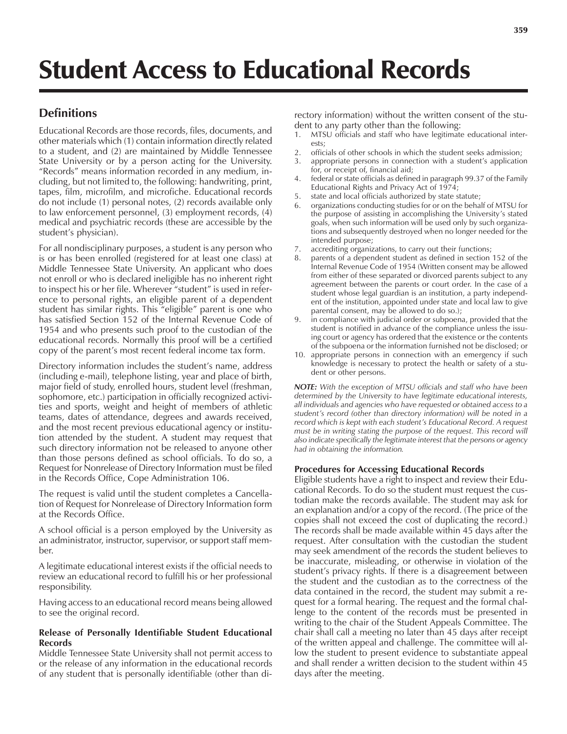# Student Access to Educational Records

### **Definitions**

Educational Records are those records, files, documents, and other materials which (1) contain information directly related to a student, and (2) are maintained by Middle Tennessee State University or by a person acting for the University. "Records" means information recorded in any medium, including, but not limited to, the following: handwriting, print, tapes, film, microfilm, and microfiche. Educational records do not include (1) personal notes, (2) records available only to law enforcement personnel, (3) employment records, (4) medical and psychiatric records (these are accessible by the student's physician).

For all nondisciplinary purposes, a student is any person who is or has been enrolled (registered for at least one class) at Middle Tennessee State University. An applicant who does not enroll or who is declared ineligible has no inherent right to inspect his or her file. Wherever "student" is used in reference to personal rights, an eligible parent of a dependent student has similar rights. This "eligible" parent is one who has satisfied Section 152 of the Internal Revenue Code of 1954 and who presents such proof to the custodian of the educational records. Normally this proof will be a certified copy of the parent's most recent federal income tax form.

Directory information includes the student's name, address (including e-mail), telephone listing, year and place of birth, major field of study, enrolled hours, student level (freshman, sophomore, etc.) participation in officially recognized activities and sports, weight and height of members of athletic teams, dates of attendance, degrees and awards received, and the most recent previous educational agency or institution attended by the student. A student may request that such directory information not be released to anyone other than those persons defined as school officials. To do so, a Request for Nonrelease of Directory Information must be filed in the Records Office, Cope Administration 106.

The request is valid until the student completes a Cancellation of Request for Nonrelease of Directory Information form at the Records Office.

A school official is a person employed by the University as an administrator, instructor, supervisor, or support staff member.

A legitimate educational interest exists if the official needs to review an educational record to fulfill his or her professional responsibility.

Having access to an educational record means being allowed to see the original record.

#### **Release of Personally Identifiable Student Educational Records**

Middle Tennessee State University shall not permit access to or the release of any information in the educational records of any student that is personally identifiable (other than directory information) without the written consent of the student to any party other than the following:

- MTSU officials and staff who have legitimate educational interests;
- 2. officials of other schools in which the student seeks admission;
- 3. appropriate persons in connection with a student's application for, or receipt of, financial aid;
- 4. federal or state officials as defined in paragraph 99.37 of the Family Educational Rights and Privacy Act of 1974;
- 5. state and local officials authorized by state statute;
- organizations conducting studies for or on the behalf of MTSU for the purpose of assisting in accomplishing the University's stated goals, when such information will be used only by such organizations and subsequently destroyed when no longer needed for the intended purpose;
- 7. accrediting organizations, to carry out their functions;
- 8. parents of a dependent student as defined in section 152 of the Internal Revenue Code of 1954 (Written consent may be allowed from either of these separated or divorced parents subject to any agreement between the parents or court order. In the case of a student whose legal guardian is an institution, a party independent of the institution, appointed under state and local law to give parental consent, may be allowed to do so.);
- 9. in compliance with judicial order or subpoena, provided that the student is notified in advance of the compliance unless the issuing court or agency has ordered that the existence or the contents of the subpoena or the information furnished not be disclosed; or
- 10. appropriate persons in connection with an emergency if such knowledge is necessary to protect the health or safety of a student or other persons.

*NOTE: With the exception of MTSU officials and staff who have been determined by the University to have legitimate educational interests, all individuals and agencies who have requested or obtained access to a studentís record (other than directory information) will be noted in a* record which is kept with each student's Educational Record. A request *must be in writing stating the purpose of the request. This record will also indicate specifically the legitimate interest that the persons or agency had in obtaining the information.*

#### **Procedures for Accessing Educational Records**

Eligible students have a right to inspect and review their Educational Records. To do so the student must request the custodian make the records available. The student may ask for an explanation and/or a copy of the record. (The price of the copies shall not exceed the cost of duplicating the record.) The records shall be made available within 45 days after the request. After consultation with the custodian the student may seek amendment of the records the student believes to be inaccurate, misleading, or otherwise in violation of the student's privacy rights. If there is a disagreement between the student and the custodian as to the correctness of the data contained in the record, the student may submit a request for a formal hearing. The request and the formal challenge to the content of the records must be presented in writing to the chair of the Student Appeals Committee. The chair shall call a meeting no later than 45 days after receipt of the written appeal and challenge. The committee will allow the student to present evidence to substantiate appeal and shall render a written decision to the student within 45 days after the meeting.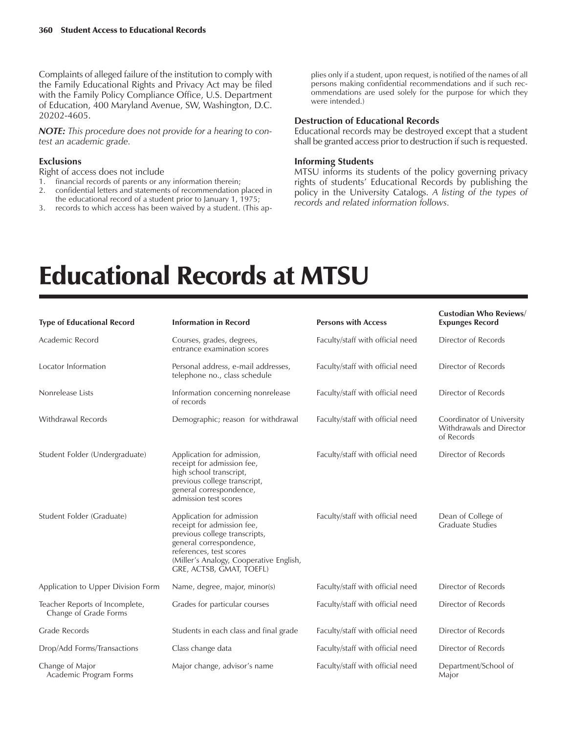Complaints of alleged failure of the institution to comply with the Family Educational Rights and Privacy Act may be filed with the Family Policy Compliance Office, U.S. Department of Education, 400 Maryland Avenue, SW, Washington, D.C. 20202-4605.

*NOTE: This procedure does not provide for a hearing to contest an academic grade.*

#### **Exclusions**

Right of access does not include

- 1. financial records of parents or any information therein;
- 2. confidential letters and statements of recommendation placed in the educational record of a student prior to January 1, 1975;
- 3. records to which access has been waived by a student. (This ap-

plies only if a student, upon request, is notified of the names of all persons making confidential recommendations and if such recommendations are used solely for the purpose for which they were intended.)

#### **Destruction of Educational Records**

Educational records may be destroyed except that a student shall be granted access prior to destruction if such is requested.

#### **Informing Students**

MTSU informs its students of the policy governing privacy rights of students' Educational Records by publishing the policy in the University Catalogs. *A listing of the types of records and related information follows.*

## Educational Records at MTSU

| <b>Type of Educational Record</b>                       | <b>Information in Record</b>                                                                                                                                                                                          | <b>Persons with Access</b>       | <b>Custodian Who Reviews/</b><br><b>Expunges Record</b>             |
|---------------------------------------------------------|-----------------------------------------------------------------------------------------------------------------------------------------------------------------------------------------------------------------------|----------------------------------|---------------------------------------------------------------------|
| Academic Record                                         | Courses, grades, degrees,<br>entrance examination scores                                                                                                                                                              | Faculty/staff with official need | Director of Records                                                 |
| Locator Information                                     | Personal address, e-mail addresses,<br>telephone no., class schedule                                                                                                                                                  | Faculty/staff with official need | Director of Records                                                 |
| Nonrelease Lists                                        | Information concerning nonrelease<br>of records                                                                                                                                                                       | Faculty/staff with official need | Director of Records                                                 |
| <b>Withdrawal Records</b>                               | Demographic; reason for withdrawal                                                                                                                                                                                    | Faculty/staff with official need | Coordinator of University<br>Withdrawals and Director<br>of Records |
| Student Folder (Undergraduate)                          | Application for admission,<br>receipt for admission fee,<br>high school transcript,<br>previous college transcript,<br>general correspondence,<br>admission test scores                                               | Faculty/staff with official need | Director of Records                                                 |
| Student Folder (Graduate)                               | Application for admission<br>receipt for admission fee,<br>previous college transcripts,<br>general correspondence,<br>references, test scores<br>(Miller's Analogy, Cooperative English,<br>GRE, ACTSB, GMAT, TOEFL) | Faculty/staff with official need | Dean of College of<br><b>Graduate Studies</b>                       |
| Application to Upper Division Form                      | Name, degree, major, minor(s)                                                                                                                                                                                         | Faculty/staff with official need | Director of Records                                                 |
| Teacher Reports of Incomplete,<br>Change of Grade Forms | Grades for particular courses                                                                                                                                                                                         | Faculty/staff with official need | Director of Records                                                 |
| <b>Grade Records</b>                                    | Students in each class and final grade                                                                                                                                                                                | Faculty/staff with official need | Director of Records                                                 |
| Drop/Add Forms/Transactions                             | Class change data                                                                                                                                                                                                     | Faculty/staff with official need | Director of Records                                                 |
| Change of Major<br>Academic Program Forms               | Major change, advisor's name                                                                                                                                                                                          | Faculty/staff with official need | Department/School of<br>Maior                                       |